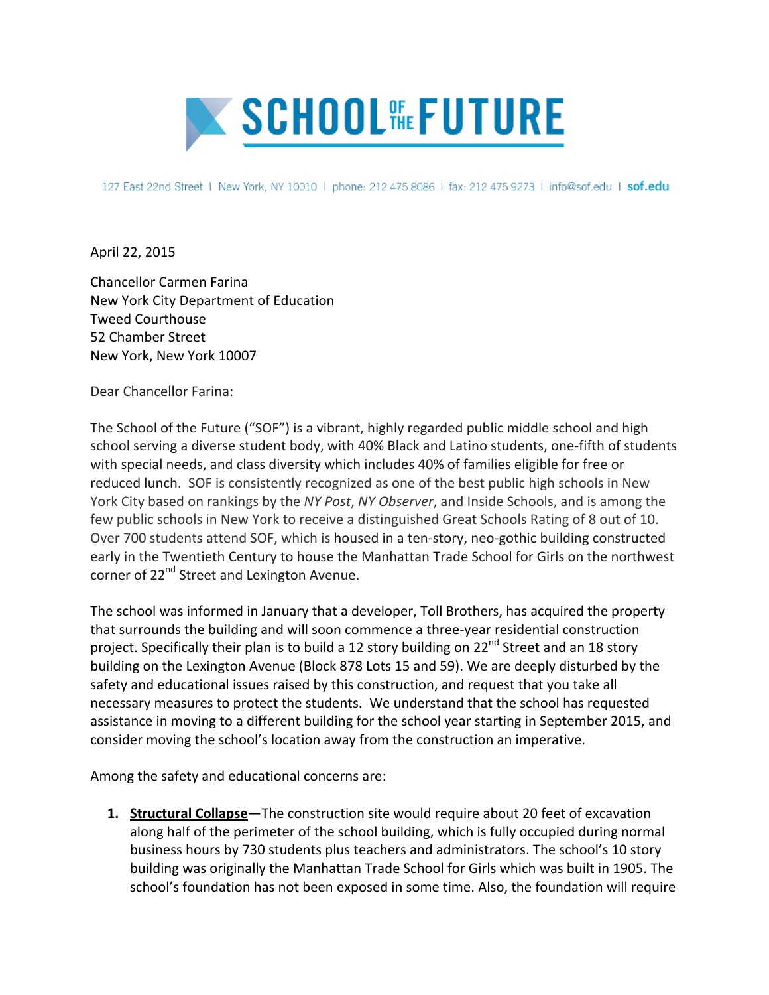

127 East 22nd Street | New York, NY 10010 | phone: 212 475 8086 | fax: 212 475 9273 | info@sof.edu | sof.edu

April 22, 2015

Chancellor Carmen Farina New York City Department of Education Tweed Courthouse 52 Chamber Street New York, New York 10007

Dear Chancellor Farina:

The School of the Future ("SOF") is a vibrant, highly regarded public middle school and high school serving a diverse student body, with 40% Black and Latino students, one-fifth of students with special needs, and class diversity which includes 40% of families eligible for free or reduced lunch. SOF is consistently recognized as one of the best public high schools in New York City based on rankings by the *NY Post, NY Observer*, and Inside Schools, and is among the few public schools in New York to receive a distinguished Great Schools Rating of 8 out of 10. Over 700 students attend SOF, which is housed in a ten-story, neo-gothic building constructed early in the Twentieth Century to house the Manhattan Trade School for Girls on the northwest corner of 22<sup>nd</sup> Street and Lexington Avenue.

The school was informed in January that a developer, Toll Brothers, has acquired the property that surrounds the building and will soon commence a three-year residential construction project. Specifically their plan is to build a 12 story building on 22<sup>nd</sup> Street and an 18 story building on the Lexington Avenue (Block 878 Lots 15 and 59). We are deeply disturbed by the safety and educational issues raised by this construction, and request that you take all necessary measures to protect the students. We understand that the school has requested assistance in moving to a different building for the school year starting in September 2015, and consider moving the school's location away from the construction an imperative.

Among the safety and educational concerns are:

**1. Structural Collapse**—The construction site would require about 20 feet of excavation along half of the perimeter of the school building, which is fully occupied during normal business hours by 730 students plus teachers and administrators. The school's 10 story building was originally the Manhattan Trade School for Girls which was built in 1905. The school's foundation has not been exposed in some time. Also, the foundation will require